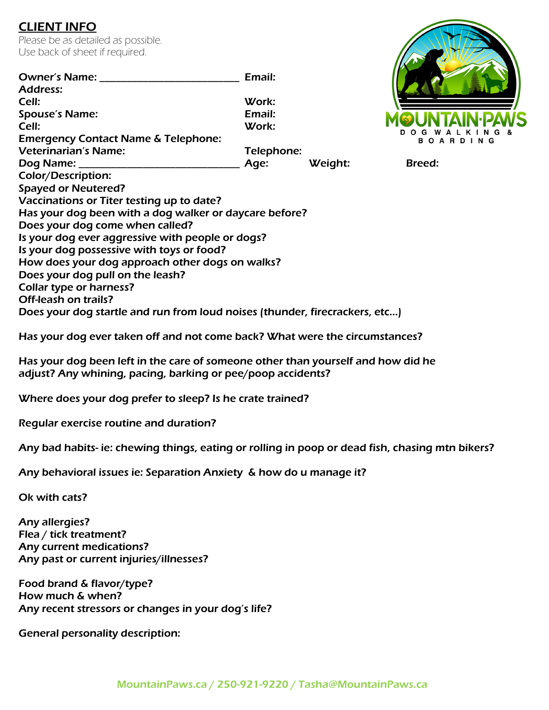## CLIENT INFO

Please be as detailed as possible. Use back of sheet if required.

| <b>Owner's Name:</b><br><b>Address:</b>                                                                     | Email:     |         |               |  |
|-------------------------------------------------------------------------------------------------------------|------------|---------|---------------|--|
| Cell:                                                                                                       | Work:      |         |               |  |
|                                                                                                             |            |         |               |  |
| <b>Spouse's Name:</b>                                                                                       | Email:     |         |               |  |
| Cell:                                                                                                       | Work:      |         |               |  |
| <b>Emergency Contact Name &amp; Telephone:</b>                                                              |            |         |               |  |
| <b>Veterinarian's Name:</b>                                                                                 | Telephone: |         |               |  |
|                                                                                                             | Age:       | Weight: | <b>Breed:</b> |  |
| <b>Color/Description:</b>                                                                                   |            |         |               |  |
| <b>Spayed or Neutered?</b>                                                                                  |            |         |               |  |
| Vaccinations or Titer testing up to date?                                                                   |            |         |               |  |
| Has your dog been with a dog walker or daycare before?                                                      |            |         |               |  |
| Does your dog come when called?                                                                             |            |         |               |  |
| Is your dog ever aggressive with people or dogs?                                                            |            |         |               |  |
| Is your dog possessive with toys or food?                                                                   |            |         |               |  |
| How does your dog approach other dogs on walks?                                                             |            |         |               |  |
| Does your dog pull on the leash?                                                                            |            |         |               |  |
| <b>Collar type or harness?</b>                                                                              |            |         |               |  |
| Off-leash on trails?                                                                                        |            |         |               |  |
| Does your dog startle and run from loud noises (thunder, firecrackers, etc)                                 |            |         |               |  |
| $\mathbf{r}$ , and $\mathbf{r}$ , and $\mathbf{r}$ , and $\mathbf{r}$ , and $\mathbf{r}$ , and $\mathbf{r}$ |            |         |               |  |

Has your dog ever taken off and not come back? What were the circumstances?

Has your dog been left in the care of someone other than yourself and how did he adjust? Any whining, pacing, barking or pee/poop accidents?

Where does your dog prefer to sleep? Is he crate trained?

Regular exercise routine and duration?

Any bad habits- ie: chewing things, eating or rolling in poop or dead fish, chasing mtn bikers?

Any behavioral issues ie: Separation Anxiety & how do u manage it?

Ok with cats?

Any allergies? Flea / tick treatment? Any current medications? Any past or current injuries/illnesses?

Food brand & flavor/type? How much & when? Any recent stressors or changes in your dog's life?

General personality description:

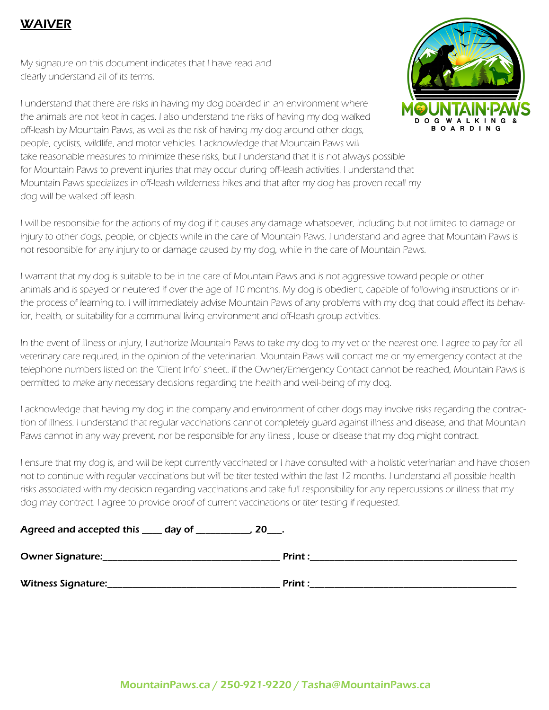## WAIVER

My signature on this document indicates that I have read and clearly understand all of its terms.



I understand that there are risks in having my dog boarded in an environment where the animals are not kept in cages. I also understand the risks of having my dog walked off-leash by Mountain Paws, as well as the risk of having my dog around other dogs, people, cyclists, wildlife, and motor vehicles. I acknowledge that Mountain Paws will take reasonable measures to minimize these risks, but I understand that it is not always possible for Mountain Paws to prevent injuries that may occur during off-leash activities. I understand that Mountain Paws specializes in off-leash wilderness hikes and that after my dog has proven recall my dog will be walked off leash.

I will be responsible for the actions of my dog if it causes any damage whatsoever, including but not limited to damage or injury to other dogs, people, or objects while in the care of Mountain Paws. I understand and agree that Mountain Paws is not responsible for any injury to or damage caused by my dog, while in the care of Mountain Paws.

I warrant that my dog is suitable to be in the care of Mountain Paws and is not aggressive toward people or other animals and is spayed or neutered if over the age of 10 months. My dog is obedient, capable of following instructions or in the process of learning to. I will immediately advise Mountain Paws of any problems with my dog that could affect its behavior, health, or suitability for a communal living environment and off-leash group activities.

In the event of illness or injury, I authorize Mountain Paws to take my dog to my vet or the nearest one. I agree to pay for all veterinary care required, in the opinion of the veterinarian. Mountain Paws will contact me or my emergency contact at the telephone numbers listed on the 'Client Info' sheet.. If the Owner/Emergency Contact cannot be reached, Mountain Paws is permitted to make any necessary decisions regarding the health and well-being of my dog.

I acknowledge that having my dog in the company and environment of other dogs may involve risks regarding the contraction of illness. I understand that regular vaccinations cannot completely guard against illness and disease, and that Mountain Paws cannot in any way prevent, nor be responsible for any illness , louse or disease that my dog might contract.

I ensure that my dog is, and will be kept currently vaccinated or I have consulted with a holistic veterinarian and have chosen not to continue with regular vaccinations but will be titer tested within the last 12 months. I understand all possible health risks associated with my decision regarding vaccinations and take full responsibility for any repercussions or illness that my dog may contract. I agree to provide proof of current vaccinations or titer testing if requested.

| Agreed and accepted this ____ day of ___<br>$20$ ____. |                |  |
|--------------------------------------------------------|----------------|--|
| <b>Owner Signature:</b>                                | <b>Print</b> : |  |
| Witness Signature:                                     | <b>Print:</b>  |  |